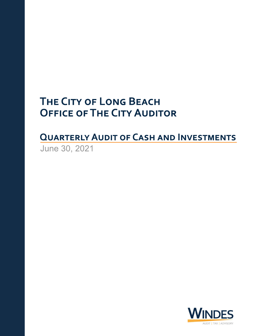# **THE CITY OF LONG BEACH OFFICE OF THE CITY AUDITOR**

**QUARTERLY AUDIT OF CASH AND INVESTMENTS** June30,2021

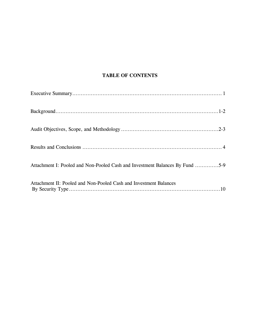# **TABLE OF CONTENTS**

| Attachment I: Pooled and Non-Pooled Cash and Investment Balances By Fund 5-9 |
|------------------------------------------------------------------------------|
| Attachment II: Pooled and Non-Pooled Cash and Investment Balances            |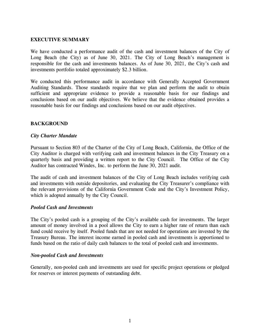#### **EXECUTIVE SUMMARY**

We have conducted a performance audit of the cash and investment balances of the City of Long Beach (the City) as of June 30, 2021. The City of Long Beach's management is responsible for the cash and investments balances. As of June 30, 2021, the City's cash and investments portfolio totaled approximately \$2.3 billion.

We conducted this performance audit in accordance with Generally Accepted Government Auditing Standards. Those standards require that we plan and perform the audit to obtain sufficient and appropriate evidence to provide a reasonable basis for our findings and conclusions based on our audit objectives. We believe that the evidence obtained provides a reasonable basis for our findings and conclusions based on our audit objectives.

#### **BACKGROUND**

#### *City Charter Mandate*

Pursuant to Section 803 of the Charter of the City of Long Beach, California, the Office of the City Auditor is charged with verifying cash and investment balances in the City Treasury on a quarterly basis and providing a written report to the City Council. The Office of the City Auditor has contracted Windes, Inc. to perform the June 30, 2021 audit.

The audit of cash and investment balances of the City of Long Beach includes verifying cash and investments with outside depositories, and evaluating the City Treasurer's compliance with the relevant provisions of the California Government Code and the City's Investment Policy, which is adopted annually by the City Council.

#### *Pooled Cash and Investments*

The City's pooled cash is a grouping of the City's available cash for investments. The larger amount of money involved in a pool allows the City to earn a higher rate of return than each fund could receive by itself. Pooled funds that are not needed for operations are invested by the Treasury Bureau. The interest income earned in pooled cash and investments is apportioned to funds based on the ratio of daily cash balances to the total of pooled cash and investments.

#### *Non-pooled Cash and Investments*

Generally, non-pooled cash and investments are used for specific project operations or pledged for reserves or interest payments of outstanding debt.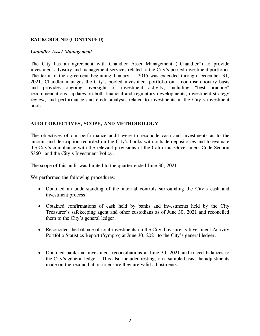## **BACKGROUND (CONTINUED)**

#### *Chandler Asset Management*

The City has an agreement with Chandler Asset Management ("Chandler") to provide investment advisory and management services related to the City's pooled investment portfolio. The term of the agreement beginning January 1, 2015 was extended through December 31, 2021. Chandler manages the City's pooled investment portfolio on a non-discretionary basis and provides ongoing oversight of investment activity, including "best practice" recommendations, updates on both financial and regulatory developments, investment strategy review, and performance and credit analysis related to investments in the City's investment pool.

## **AUDIT OBJECTIVES, SCOPE, AND METHODOLOGY**

The objectives of our performance audit were to reconcile cash and investments as to the amount and description recorded on the City's books with outside depositories and to evaluate the City's compliance with the relevant provisions of the California Government Code Section 53601 and the City's Investment Policy.

The scope of this audit was limited to the quarter ended June 30, 2021.

We performed the following procedures:

- Obtained an understanding of the internal controls surrounding the City's cash and investment process.
- Obtained confirmations of cash held by banks and investments held by the City Treasurer's safekeeping agent and other custodians as of June 30, 2021 and reconciled them to the City's general ledger.
- Reconciled the balance of total investments on the City Treasurer's Investment Activity Portfolio Statistics Report (Sympro) at June 30, 2021 to the City's general ledger.
- Obtained bank and investment reconciliations at June 30, 2021 and traced balances to the City's general ledger. This also included testing, on a sample basis, the adjustments made on the reconciliation to ensure they are valid adjustments.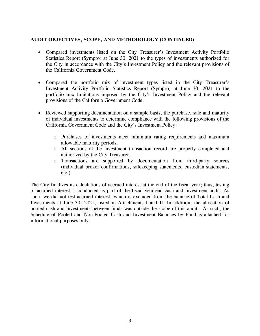## **AUDIT OBJECTIVES, SCOPE, AND METHODOLOGY (CONTINUED)**

- Compared investments listed on the City Treasurer's Investment Activity Portfolio Statistics Report (Sympro) at June 30, 2021 to the types of investments authorized for the City in accordance with the City's Investment Policy and the relevant provisions of the California Government Code.
- Compared the portfolio mix of investment types listed in the City Treasurer's Investment Activity Portfolio Statistics Report (Sympro) at June 30, 2021 to the portfolio mix limitations imposed by the City's Investment Policy and the relevant provisions of the California Government Code.
- Reviewed supporting documentation on a sample basis, the purchase, sale and maturity of individual investments to determine compliance with the following provisions of the California Government Code and the City's Investment Policy:
	- o Purchases of investments meet minimum rating requirements and maximum allowable maturity periods.
	- o All sections of the investment transaction record are properly completed and authorized by the City Treasurer.
	- o Transactions are supported by documentation from third-party sources (individual broker confirmations, safekeeping statements, custodian statements, etc.)

The City finalizes its calculations of accrued interest at the end of the fiscal year; thus, testing of accrued interest is conducted as part of the fiscal year-end cash and investment audit. As such, we did not test accrued interest, which is excluded from the balance of Total Cash and Investments at June 30, 2021, listed in Attachments I and II. In addition, the allocation of pooled cash and investments between funds was outside the scope of this audit. As such, the Schedule of Pooled and Non-Pooled Cash and Investment Balances by Fund is attached for informational purposes only.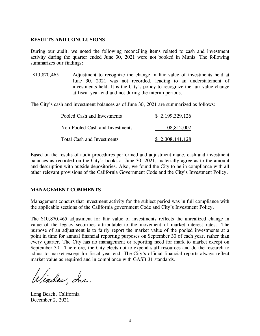#### **RESULTS AND CONCLUSIONS**

During our audit, we noted the following reconciling items related to cash and investment activity during the quarter ended June 30, 2021 were not booked in Munis. The following summarizes our findings:

\$10,870,465 Adjustment to recognize the change in fair value of investments held at June 30, 2021 was not recorded, leading to an understatement of investments held. It is the City's policy to recognize the fair value change at fiscal year-end and not during the interim periods.

The City's cash and investment balances as of June 30, 2021 are summarized as follows:

| Pooled Cash and Investments       | \$2,199,329,126 |
|-----------------------------------|-----------------|
| Non-Pooled Cash and Investments   | 108,812,002     |
| <b>Total Cash and Investments</b> | \$2,308,141,128 |

Based on the results of audit procedures performed and adjustment made, cash and investment balances as recorded on the City's books at June 30, 2021, materially agree as to the amount and description with outside depositories. Also, we found the City to be in compliance with all other relevant provisions of the California Government Code and the City's Investment Policy.

#### **MANAGEMENT COMMENTS**

Management concurs that investment activity for the subject period was in full compliance with the applicable sections of the California government Code and City's Investment Policy.

The \$10,870,465 adjustment for fair value of investments reflects the unrealized change in value of the legacy securities attributable to the movement of market interest rates. The purpose of an adjustment is to fairly report the market value of the pooled investments at a point in time for annual financial reporting purposes on September 30 of each year, rather than every quarter. The City has no management or reporting need for mark to market except on September 30. Therefore, the City elects not to expend staff resources and do the research to adjust to market except for fiscal year end. The City's official financial reports always reflect market value as required and in compliance with GASB 31 standards.

Windes, Inc.

Long Beach, California December 2, 2021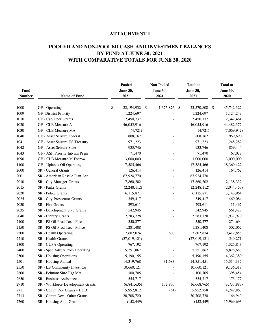# **POOLED AND NON-POOLED CASH AND INVESTMENT BALANCES BY FUND AT JUNE 30, 2021 WITH COMPARATIVE TOTALS FOR JUNE 30, 2020**

| Fund          |                                   | <b>Pooled</b><br><b>June 30,</b> |     | <b>Non-Pooled</b><br><b>June 30,</b> |     | <b>Total at</b><br>June 30, |     | <b>Total at</b><br>June 30, |
|---------------|-----------------------------------|----------------------------------|-----|--------------------------------------|-----|-----------------------------|-----|-----------------------------|
| <b>Number</b> | Name of Fund                      | 2021                             |     | 2021                                 |     | 2021                        |     | 2020                        |
| 1000          | GF - Operating                    | \$<br>22, 194, 932               | -\$ | 1,375,876                            | -\$ | 23,570,808                  | -\$ | 45,742,322                  |
| 1009          | GF- District Priority             | 1,224,697                        |     |                                      |     | 1,224,697                   |     | 1,124,249                   |
| 1010          | GF - Cap/Oper Grants              | 2,450,737                        |     |                                      |     | 2,450,737                   |     | 2,342,461                   |
| 1020          | GF - CLB Measure A                | 46,055,916                       |     |                                      |     | 46,055,916                  |     | 44, 482, 372                |
| 1030          | GF - CLB Measure MA               | (4, 721)                         |     |                                      |     | (4, 721)                    |     | (7,069,942)                 |
| 1040          | GF - Asset Seizure Federal        | 808,162                          |     |                                      |     | 808,162                     |     | 969,690                     |
| 1041          | GF - Asset Seizure US Treasury    | 971,223                          |     |                                      |     | 971,223                     |     | 1,248,282                   |
| 1042          | GF - Asset Seizure State          | 933,746                          |     |                                      |     | 933,746                     |     | 859,444                     |
| 1043          | GF - ASF Priority Intvntn Prgm    | 71,470                           |     |                                      |     | 71,470                      |     | 67,038                      |
| 1090          | GF - CLB Measure M Escrow         | 3,000,000                        |     |                                      |     | 3,000,000                   |     | 3,000,000                   |
| 1100          | GF - Uplands Oil Operating        | 17,585,466                       |     |                                      |     | 17,585,466                  |     | 18,369,422                  |
| 2000          | SR - General Grants               | 126,414                          |     |                                      |     | 126,414                     |     | 164,762                     |
| 2001          | SR - American Rescue Plan Act     | 67,924,770                       |     |                                      |     | 67,924,770                  |     |                             |
| 2010          | SR - City Manager Grants          | 17,860,202                       |     |                                      |     | 17,860,202                  |     | 2,138,332                   |
| 2015          | <b>SR</b> - Parks Grants          | (2, 248, 112)                    |     |                                      |     | (2, 248, 112)               |     | (2,044,457)                 |
| 2020          | SR - Police Grants                | 6,115,871                        |     |                                      |     | 6,115,871                   |     | 3, 143, 964                 |
| 2025          | SR - City Prosecutor Grants       | 349,417                          |     |                                      |     | 349,417                     |     | 469,084                     |
| 2030          | SR - Fire Grants                  | 293,611                          |     |                                      |     | 293,611                     |     | 11,467                      |
| 2035          | SR - Development Srvc Grants      | 542,945                          |     |                                      |     | 542,945                     |     | 561,427                     |
| 2040          | SR - Library Grants               | 2,283,728                        |     |                                      |     | 2,283,728                   |     | 1,937,920                   |
| 2100          | SR - PS Oil Prod Tax - Fire       | 350,277                          |     |                                      |     | 350,277                     |     | 274,694                     |
| 2150          | SR - PS Oil Prod Tax - Police     | 1,281,408                        |     |                                      |     | 1,281,408                   |     | 502,062                     |
| 2200          | SR - Health Operating             | 7,602,074                        |     | 800                                  |     | 7,602,874                   |     | 9,412,858                   |
| 2210          | SR - Health Grants                | (27, 019, 121)                   |     |                                      |     | (27, 019, 121)              |     | 549,271                     |
| 2300          | SR - CUPA Operating               | 767,192                          |     |                                      |     | 767,192                     |     | 1,325,843                   |
| 2400          | SR - Spec Adver/Prom Operating    | 5,251,867                        |     |                                      |     | 5,251,867                   |     | 8,828,683                   |
| 2500          | SR - Housing Operations           | 5,190,155                        |     |                                      |     | 5,190,155                   |     | 4,362,389                   |
| 2501          | SR - Housing Annual               | 14,319,768                       |     | 31,683                               |     | 14, 351, 451                |     | 15,314,337                  |
| 2550          | SR - LB Community Invest Co       | 10,660,121                       |     |                                      |     | 10,660,121                  |     | 9,136,318                   |
| 2600          | SR - Belmont Shre Pkg Mtr         | 100,705                          |     |                                      |     | 100,705                     |     | 398,454                     |
| 2650          | SR - Business Assistance          | 555,717                          |     |                                      |     | 555,717                     |     | 173,177                     |
| 2710          | SR - Workforce Development Grants | (6,841,635)                      |     | 172,870                              |     | (6,668,765)                 |     | (3,737,887)                 |
| 2711          | SR - Comm Dev Grants - HUD        | 5,952,812                        |     | (54)                                 |     | 5,952,758                   |     | 4,242,863                   |
| 2713          | SR - Comm Dev - Other Grants      | 20,708,720                       |     |                                      |     | 20,708,720                  |     | 166,940                     |
| 2760          | SR - Housing Auth Grnts           | (152, 449)                       |     |                                      |     | (152, 449)                  |     | 15,969,693                  |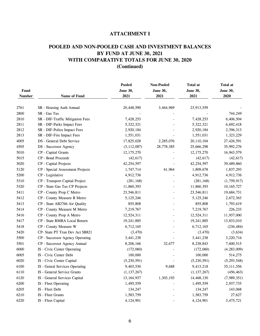# **POOLED AND NON-POOLED CASH AND INVESTMENT BALANCES BY FUND AT JUNE 30, 2021 WITH COMPARATIVE TOTALS FOR JUNE 30, 2020 (Continued)**

| <b>June 30,</b><br><b>June 30,</b><br>June 30,<br>2021<br>2021<br>2021<br><b>Number</b><br>Name of Fund<br>2761<br>20,448,590<br>3,464,969<br>23,913,559<br>SR - Housing Auth Annual<br>2800<br>SR - Gas Tax<br>2810<br>SR - DIF-Traffic Mitigation Fees<br>7,428,253<br>7,428,253<br>2811<br>SR - DIF-Parks Impact Fees<br>5,322,321<br>5,322,321<br>2812<br>SR - DIF-Police Impact Fees<br>2,920,184<br>2,920,184<br>2813<br>SR - DIF-Fire Impact Fees<br>1,551,031<br>1,551,031<br>4005<br>DS - General Debt Service<br>2,285,076<br>17,825,028<br>20,110,104<br>28,778,385<br>4505<br>DS - Successor Agency<br>(3, 112, 087)<br>25,666,298<br>5010<br>CP - Capital Grants<br>12, 175, 270<br>12, 175, 270<br>CP - Bond Proceeds<br>5015<br>(42, 617)<br>(42, 617) | <b>Total at</b><br>June 30, |  |
|-----------------------------------------------------------------------------------------------------------------------------------------------------------------------------------------------------------------------------------------------------------------------------------------------------------------------------------------------------------------------------------------------------------------------------------------------------------------------------------------------------------------------------------------------------------------------------------------------------------------------------------------------------------------------------------------------------------------------------------------------------------------------|-----------------------------|--|
|                                                                                                                                                                                                                                                                                                                                                                                                                                                                                                                                                                                                                                                                                                                                                                       | 2020                        |  |
|                                                                                                                                                                                                                                                                                                                                                                                                                                                                                                                                                                                                                                                                                                                                                                       |                             |  |
|                                                                                                                                                                                                                                                                                                                                                                                                                                                                                                                                                                                                                                                                                                                                                                       | 744,249                     |  |
|                                                                                                                                                                                                                                                                                                                                                                                                                                                                                                                                                                                                                                                                                                                                                                       | 6,406,504                   |  |
|                                                                                                                                                                                                                                                                                                                                                                                                                                                                                                                                                                                                                                                                                                                                                                       | 6,692,418                   |  |
|                                                                                                                                                                                                                                                                                                                                                                                                                                                                                                                                                                                                                                                                                                                                                                       | 2,396,313                   |  |
|                                                                                                                                                                                                                                                                                                                                                                                                                                                                                                                                                                                                                                                                                                                                                                       | 1,323,229                   |  |
|                                                                                                                                                                                                                                                                                                                                                                                                                                                                                                                                                                                                                                                                                                                                                                       | 27,426,591                  |  |
|                                                                                                                                                                                                                                                                                                                                                                                                                                                                                                                                                                                                                                                                                                                                                                       | 35,992,276                  |  |
|                                                                                                                                                                                                                                                                                                                                                                                                                                                                                                                                                                                                                                                                                                                                                                       | 16,943,579                  |  |
|                                                                                                                                                                                                                                                                                                                                                                                                                                                                                                                                                                                                                                                                                                                                                                       | (42, 617)                   |  |
| 5020<br>CP - Capital Projects<br>42,254,597<br>42,254,597                                                                                                                                                                                                                                                                                                                                                                                                                                                                                                                                                                                                                                                                                                             | 39,489,860                  |  |
| 5120<br>CP - Special Assessment Projects<br>61,964<br>1,747,714<br>1,809,678                                                                                                                                                                                                                                                                                                                                                                                                                                                                                                                                                                                                                                                                                          | 1,837,293                   |  |
| 5200<br>CP - Legislative<br>4,912,736<br>4,912,736                                                                                                                                                                                                                                                                                                                                                                                                                                                                                                                                                                                                                                                                                                                    | 4,912,736                   |  |
| 5310<br>CP - Transport Capital Project<br>(281, 168)<br>(281, 168)                                                                                                                                                                                                                                                                                                                                                                                                                                                                                                                                                                                                                                                                                                    | (1,759,917)                 |  |
| 5320<br>CP - State Gas Tax CP Projects<br>11,860,393<br>11,860,393                                                                                                                                                                                                                                                                                                                                                                                                                                                                                                                                                                                                                                                                                                    | 10,165,727                  |  |
| 5411<br>CP - County Prop C Metro<br>23,546,811<br>23,546,811                                                                                                                                                                                                                                                                                                                                                                                                                                                                                                                                                                                                                                                                                                          | 19,684,731                  |  |
| 5412<br>CP - County Measure R Metro<br>5, 125, 246<br>5, 125, 246                                                                                                                                                                                                                                                                                                                                                                                                                                                                                                                                                                                                                                                                                                     | 2,672,363                   |  |
| 5413<br>CP - State AB2766 Air Quality<br>855,808<br>855,808                                                                                                                                                                                                                                                                                                                                                                                                                                                                                                                                                                                                                                                                                                           | 1,793,619                   |  |
| 5414<br>CP - County Measure M Metro<br>7,219,767<br>7,219,767                                                                                                                                                                                                                                                                                                                                                                                                                                                                                                                                                                                                                                                                                                         | 226,233                     |  |
| CP - County Prop A Metro<br>12,524,311<br>5416<br>12,524,311                                                                                                                                                                                                                                                                                                                                                                                                                                                                                                                                                                                                                                                                                                          | 11,937,000                  |  |
| CP - State RMRA Local Return<br>19,241,885<br>5417<br>19,241,885                                                                                                                                                                                                                                                                                                                                                                                                                                                                                                                                                                                                                                                                                                      | 13,833,010                  |  |
| CP - County Measure W<br>6,712,165<br>6,712,165<br>5418                                                                                                                                                                                                                                                                                                                                                                                                                                                                                                                                                                                                                                                                                                               | (236, 484)                  |  |
| 5420<br>CP- State PT Tran Dev Act SB821<br>(3,470)<br>(3,470)                                                                                                                                                                                                                                                                                                                                                                                                                                                                                                                                                                                                                                                                                                         | (3,634)                     |  |
| 5500<br>CP - Successor Agency Operating<br>3,441,238<br>3,441,238                                                                                                                                                                                                                                                                                                                                                                                                                                                                                                                                                                                                                                                                                                     | 3,220,716                   |  |
| CP - Successor Agency Annual<br>5501<br>8,206,166<br>32,677<br>8,238,843                                                                                                                                                                                                                                                                                                                                                                                                                                                                                                                                                                                                                                                                                              | 7,600,515                   |  |
| 6000<br>IS - Civic Center Operating<br>(172,060)<br>(172,060)                                                                                                                                                                                                                                                                                                                                                                                                                                                                                                                                                                                                                                                                                                         | (4,283,009)                 |  |
| 6005<br>IS - Civic Center Debt<br>100,000<br>100,000                                                                                                                                                                                                                                                                                                                                                                                                                                                                                                                                                                                                                                                                                                                  | 514,275                     |  |
| 6020<br>IS - Civic Center Capital<br>(5,230,591)<br>(5,230,591)                                                                                                                                                                                                                                                                                                                                                                                                                                                                                                                                                                                                                                                                                                       | (5,293,548)                 |  |
| 6100<br>IS - Genral Services Operating<br>9,403,530<br>9,688<br>9,413,218                                                                                                                                                                                                                                                                                                                                                                                                                                                                                                                                                                                                                                                                                             | 35, 111, 556                |  |
| 6110<br>IS - General Service Grants<br>(1, 137, 267)<br>(1, 137, 267)                                                                                                                                                                                                                                                                                                                                                                                                                                                                                                                                                                                                                                                                                                 | (456, 463)                  |  |
| 6120<br>IS - General Services Capital<br>1,303,193<br>13, 164, 937<br>14,468,130                                                                                                                                                                                                                                                                                                                                                                                                                                                                                                                                                                                                                                                                                      | (7,989,351)                 |  |
| 6200<br>IS - Fleet Operating<br>1,495,559<br>1,495,559                                                                                                                                                                                                                                                                                                                                                                                                                                                                                                                                                                                                                                                                                                                | 2,937,735                   |  |
| 6205<br>IS - Fleet Debt<br>134,247<br>134,247                                                                                                                                                                                                                                                                                                                                                                                                                                                                                                                                                                                                                                                                                                                         | 143,068                     |  |
| 6210<br>IS - Fleet Grants<br>1,583,759<br>1,583,759                                                                                                                                                                                                                                                                                                                                                                                                                                                                                                                                                                                                                                                                                                                   | 27,627                      |  |
| 6220<br>IS - Fleet Capital<br>4,124,901<br>4,124,901                                                                                                                                                                                                                                                                                                                                                                                                                                                                                                                                                                                                                                                                                                                  | 3,475,721                   |  |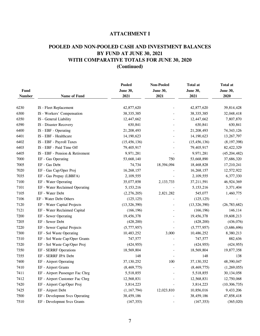# **POOLED AND NON-POOLED CASH AND INVESTMENT BALANCES BY FUND AT JUNE 30, 2021 WITH COMPARATIVE TOTALS FOR JUNE 30, 2020 (Continued)**

| Fund          |                                 | <b>Pooled</b><br><b>June 30,</b> | <b>Non-Pooled</b><br>June 30, | <b>Total at</b><br><b>June 30,</b> | <b>Total at</b><br>June 30, |
|---------------|---------------------------------|----------------------------------|-------------------------------|------------------------------------|-----------------------------|
| <b>Number</b> | Name of Fund                    | 2021                             | 2021                          | 2021                               | 2020                        |
| 6230          | IS - Fleet Replacement          | 42,877,620                       |                               | 42,877,620                         | 39,814,428                  |
| 6300          | IS - Workers' Compensation      | 38, 335, 385                     |                               | 38, 335, 385                       | 32,048,418                  |
| 6350          | IS - General Liability          | 12,447,662                       |                               | 12,447,662                         | 7,807,870                   |
| 6390          | IS - Disaster Recovery          | 630,841                          |                               | 630,841                            | 630,841                     |
| 6400          | IS - EBF - Operating            | 21,208,493                       |                               | 21,208,493                         | 74, 343, 126                |
| 6401          | IS - EBF - Healthcare           | 14,190,623                       |                               | 14,190,623                         | 13,267,797                  |
| 6402          | IS - EBF - Payroll Taxes        | (15, 456, 136)                   |                               | (15, 456, 136)                     | (8, 197, 398)               |
| 6403          | IS - EBF - Paid Time Off        | 79,405,917                       |                               | 79,405,917                         | 82,422,329                  |
| 6405          | IS - EBF - Pension & Retirement | 9,971,281                        |                               | 9,971,281                          | (45, 204, 482)              |
| 7000          | EF - Gas Operating              | 53,668,140                       | 750                           | 53,668,890                         | 37,686,320                  |
| 7005          | EF - Gas Debt                   | 74,734                           | 18,394,094                    | 18,468,828                         | 17,210,241                  |
| 7020          | EF - Gas Cap/Oper Proj          | 16,268,157                       |                               | 16,268,157                         | 12,572,922                  |
| 7035          | EF - Gas Prepay (LBBFA)         | 2,109,555                        |                               | 2,109,555                          | 6,377,330                   |
| 7100          | EF - Water Operating            | 35,077,858                       | 2,133,733                     | 37,211,591                         | 46,924,369                  |
| 7101          | EF - Water Reclaimed Operating  | 5, 153, 216                      |                               | 5, 153, 216                        | 3,371,404                   |
| 7105          | EF - Water Debt                 | (2,276,205)                      | 2,821,282                     | 545,077                            | 1,460,775                   |
| 7106          | EF - Water Debt Others          | (125, 125)                       |                               | (125, 125)                         |                             |
| 7120          | EF - Water Capital Projects     | (13, 326, 390)                   |                               | (13, 326, 390)                     | (26, 783, 682)              |
| 7121          | EF - Water Reclaimed Capital    | (166, 196)                       |                               | (166, 196)                         | 146,114                     |
| 7200          | EF - Sewer Operating            | 19,456,378                       |                               | 19,456,378                         | 19,608,213                  |
| 7205          | EF - Sewer Debt                 | (428,200)                        |                               | (428, 200)                         | (436,076)                   |
| 7220          | EF - Sewer Capital Projects     | (5,777,957)                      |                               | (5,777,957)                        | (3,686,696)                 |
| 7300          | EF - Sol Waste Operating        | 10,483,252                       | 3,000                         | 10,486,252                         | 8,380,213                   |
| 7310          | EF - Sol Waste Cap/Oper Grants  | 747,577                          |                               | 747,577                            | 882,636                     |
| 7320          | EF - Sol Waste Cap/Oper Proj    | (424, 955)                       |                               | (424, 955)                         | (424, 955)                  |
| 7350          | EF - SERRF Operations           | 18,569,804                       |                               | 18,569,804                         | 19,877,358                  |
| 7355          | EF - SERRF JPA Debt             | 148                              |                               | 148                                | 138                         |
| 7400          | EF - Airport Operating          | 37,130,252                       | 100                           | 37,130,352                         | 48,390,047                  |
| 7410          | EF - Airport Grants             | (8,469,775)                      |                               | (8,469,775)                        | (1,269,055)                 |
| 7411          | EF - Airport Passenger Fac Chrg | 5,518,855                        |                               | 5,518,855                          | 30, 134, 058                |
| 7412          | EF - Airport Customer Fac Chrg  | 12,568,831                       |                               | 12,568,831                         | 12,750,068                  |
| 7420          | EF - Airport Cap/Oper Proj      | 3,814,223                        |                               | 3,814,223                          | (10, 306, 735)              |
| 7425          | EF - Airport Debt               | (1,167,794)                      | 12,023,810                    | 10,856,016                         | 9,433,206                   |
| 7500          | EF - Developmnt Svcs Operating  | 38,459,186                       |                               | 38,459,186                         | 47,858,418                  |
| 7510          | EF - Developmnt Svcs Grants     | (167, 353)                       |                               | (167, 353)                         | (365, 020)                  |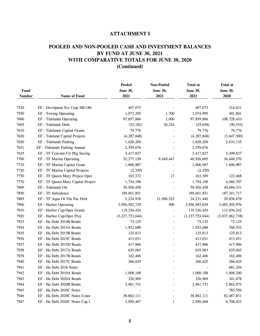# **POOLED AND NON-POOLED CASH AND INVESTMENT BALANCES BY FUND AT JUNE 30, 2021 WITH COMPARATIVE TOTALS FOR JUNE 30, 2020 (Continued)**

| Fund<br><b>Number</b> | Name of Fund                       | <b>Pooled</b><br>June 30,<br>2021 | <b>Non-Pooled</b><br><b>June 30,</b><br>2021 | <b>Total at</b><br>June 30,<br>2021 | <b>Total at</b><br>June 30,<br>2020 |
|-----------------------|------------------------------------|-----------------------------------|----------------------------------------------|-------------------------------------|-------------------------------------|
|                       |                                    |                                   |                                              |                                     |                                     |
| 7520                  | EF - Develpmnt Svc Casp SB1186     | 407,073                           |                                              | 407,073                             | 314,621                             |
| 7550                  | EF - Towing Operating              | 1,073,295                         | 1,700                                        | 1,074,995                           | 491,801                             |
| 7600                  | EF - Tidelands Operating           | 97,857,866                        | 2,000                                        | 97,859,866                          | 108,728,410                         |
| 7605                  | EF - Tidelands Debt                | (52, 182)                         | 26,524                                       | (25, 658)                           | (90, 553)                           |
| 7610                  | EF - Tidelands Capital Grants      | 79,776                            |                                              | 79,776                              | 79,776                              |
| 7620                  | EF - Tideland Capital Projects     | (4, 287, 848)                     |                                              | (4, 287, 848)                       | (3,647,500)                         |
| 7630                  | EF - Tidelands Parking             | 1,628,209                         |                                              | 1,628,209                           | 2,633,135                           |
| 7631                  | EF - Tidelands Parking Annual      | 2,559,676                         |                                              | 2,559,676                           |                                     |
| 7635                  | EF - TF Convntn Ctr Pkg Surchg     | 3,417,827                         |                                              | 3,417,827                           | 3,499,627                           |
| 7700                  | EF - TF Marina Operating           | 32,277,158                        | 8,649,447                                    | 40,926,605                          | 36,648,570                          |
| 7710                  | EF - TF Marina Capital Grant       | 1,606,987                         |                                              | 1,606,987                           | 1,606,987                           |
| 7720                  | EF - TF Marina Capital Projects    | (2,350)                           |                                              | (2,350)                             |                                     |
| 7750                  | EF - TF Queen Mary Project Oper    | 163,372                           | 17                                           | 163,389                             | 122,468                             |
| 7770                  | EF - TF Queen Mary Capital Project | 1,754,198                         |                                              | 1,754,198                           | 4,060,707                           |
| 7800                  | EF - Tidelands Oil                 | 59,926,458                        |                                              | 59,926,458                          | 40,684,331                          |
| 7850                  | EF - TF Subsidence                 | 189,601,851                       |                                              | 189,601,851                         | 187, 341, 717                       |
| 7885                  | EF - TF Aqua Of The Pac Debt       | 3,224,918                         | 21,006,522                                   | 24, 231, 440                        | 29,838,878                          |
| 7900                  | EF - Harbor Operating              | 3,956,582,729                     | 900                                          | 3,956,583,629                       | 3,483,305,976                       |
| 7910                  | EF - Harbor Cap/Oper Grants        | 119,336,424                       |                                              | 119,336,424                         | 113,836,242                         |
| 7920                  | EF - Harbor Cap/Oper Proj          | (3,237,753,044)                   |                                              | (3,237,753,044)                     | (3,037,062,738)                     |
| 7933                  | EF - Ha Debt 2014B Bonds           | 73,125                            |                                              | 73,125                              | 73,125                              |
| 7934                  | EF - Ha Debt 2015A Bonds           | 1,932,688                         |                                              | 1,932,688                           | 768,532                             |
| 7935                  | EF - Ha Debt 2015B Bonds           | 125,813                           |                                              | 125,813                             | 125,813                             |
| 7936                  | EF - Ha Debt 2015C Bonds           | 413,031                           |                                              | 413,031                             | 413,031                             |
| 7937                  | EF - Ha Debt 2015D Bonds           | 417,906                           |                                              | 417,906                             | 417,906                             |
| 7938                  | EF - Ha Debt 2017A Bonds           | 635,063                           |                                              | 635,063                             | 635,063                             |
| 7939                  | EF - Ha Debt 2017B Bonds           | 162,406                           |                                              | 162,406                             | 162,406                             |
| 7940                  | EF - Ha Debt 2017C Bonds           | 266,625                           |                                              | 266,625                             | 266,625                             |
| 7941                  | EF - Ha Debt 2018 Notes            |                                   |                                              |                                     | 681,354                             |
| 7942                  | EF - Ha Debt 2019A Bonds           | 1,008,188                         |                                              | 1,008,188                           | 1,008,200                           |
| 7943                  | EF - Ha Debt 2020A Bonds           | 326,969                           |                                              | 326,969                             | 341,678                             |
| 7944                  | EF - Ha Debt 2020B Bonds           | 2,961,731                         |                                              | 2,961,731                           | 2,862,073                           |
| 7945                  | EF - Ha Debt 2020C Notes           |                                   |                                              |                                     | 785,556                             |
| 7946                  | EF - Ha Debt 2020C Notes Const     | 38,862,111                        |                                              | 38,862,111                          | 82,487,831                          |
| 7947                  | EF - Ha Debt 2020C Notes Cap I     | 2,950,467                         | 1                                            | 2,950,468                           | 6,708,422                           |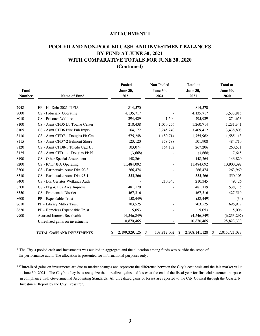## **POOLED AND NON-POOLED CASH AND INVESTMENT BALANCES BY FUND AT JUNE 30, 2021 WITH COMPARATIVE TOTALS FOR JUNE 30, 2020 (Continued)**

| Fund<br><b>Number</b> | <b>Name of Fund</b>                | <b>Pooled</b><br><b>June 30,</b><br>2021 | <b>Non-Pooled</b><br><b>June 30,</b><br>2021 | <b>Total at</b><br><b>June 30,</b><br>2021 | <b>Total at</b><br><b>June 30,</b><br>2020 |  |
|-----------------------|------------------------------------|------------------------------------------|----------------------------------------------|--------------------------------------------|--------------------------------------------|--|
| 7948                  | EF - Ha Debt 2021 TIFIA            | 814,570                                  |                                              | 814,570                                    |                                            |  |
| 8000                  | CS - Fiduciary Operating           | 4,135,717                                |                                              | 4,135,717                                  | 3,533,815                                  |  |
| 8010                  | CS - Prisoner Welfare              | 294,429                                  | 1,500                                        | 295,929                                    | 274,653                                    |  |
| 8100                  | CS - Asmt CFD5 Lb Towne Center     | 210,438                                  | 1,050,276                                    | 1,260,714                                  | 1,231,341                                  |  |
| 8105                  | CS - Asmt CFD6 Pike Pub Imprv      | 164,172                                  | 3,245,240                                    | 3,409,412                                  | 3,438,808                                  |  |
| 8110                  | CS - Asmt CFD7-1 Douglas Pk Cm     | 575,248                                  | 1,180,714                                    | 1,755,962                                  | 1,585,113                                  |  |
| 8115                  | CS - Asmt CFD7-2 Belmont Shore     | 123,120                                  | 378,788                                      | 501,908                                    | 484,710                                    |  |
| 8120                  | CS - Asmt CFD8-1 Toledo Ugd Ut     | 103,074                                  | 164,132                                      | 267,206                                    | 260,531                                    |  |
| 8125                  | CS - Asmt CFD11-1 Douglas Pk N     | (3,668)                                  |                                              | (3,668)                                    | 7,615                                      |  |
| 8190                  | CS - Other Special Assessment      | 148,264                                  |                                              | 148,264                                    | 146,820                                    |  |
| 8200                  | CS - ICTF JPA Operating            | 11,484,092                               |                                              | 11,484,092                                 | 10,900,392                                 |  |
| 8300                  | CS - Earthquake Asmt Dist 90-3     | 266,474                                  |                                              | 266,474                                    | 263,969                                    |  |
| 8310                  | CS - Earthquake Asmt Dist 93-1     | 555,266                                  |                                              | 555,266                                    | 550,105                                    |  |
| 8400                  | CS - Los Cerritos Wetlands Auth    |                                          | 210,345                                      | 210,345                                    | 49,426                                     |  |
| 8500                  | CS - Pkg & Bus Area Improve        | 481,179                                  |                                              | 481,179                                    | 538,175                                    |  |
| 8550                  | CS - Promenade District            | 467,316                                  |                                              | 467,316                                    | 427,510                                    |  |
| 8600                  | PP - Expendable Trust              | (58, 449)                                |                                              | (58, 449)                                  | (34)                                       |  |
| 8610                  | PP - Library Miller Trust          | 703,525                                  |                                              | 703,525                                    | 696,977                                    |  |
| 8620                  | PP - Homeless Expendable Trust     | 5,053                                    |                                              | 5,053                                      | 5,006                                      |  |
| 9900                  | <b>Accrued Interest Receivable</b> | (4, 546, 849)                            |                                              | (4,546,849)                                | (6,233,297)                                |  |
|                       | Unrealized gains on investments    | 10,870,465                               |                                              | 10,870,465                                 | 28,823,339                                 |  |
|                       | TOTAL CASH AND INVESTMENTS         | 2, 199, 329, 126<br>\$                   | 108,812,002<br>S<br>S                        | 2,308,141,128                              | 2,015,721,037<br>\$                        |  |

\* The City's pooled cash and investments was audited in aggregate and the allocation among funds was outside the scope of the performance audit. The allocation is presented for informational purposes only.

\*\*Unrealized gains on investments are due to market changes and represent the difference between the City's cost basis and the fair market value at June 30, 2021. The City's policy is to recognize the unrealized gains and losses at the end of the fiscal year for financial statement purposes, in compliance with Governmental Accounting Standards. All unrealized gains or losses are reported to the City Council through the Quarterly Investment Report by the City Treasurer.